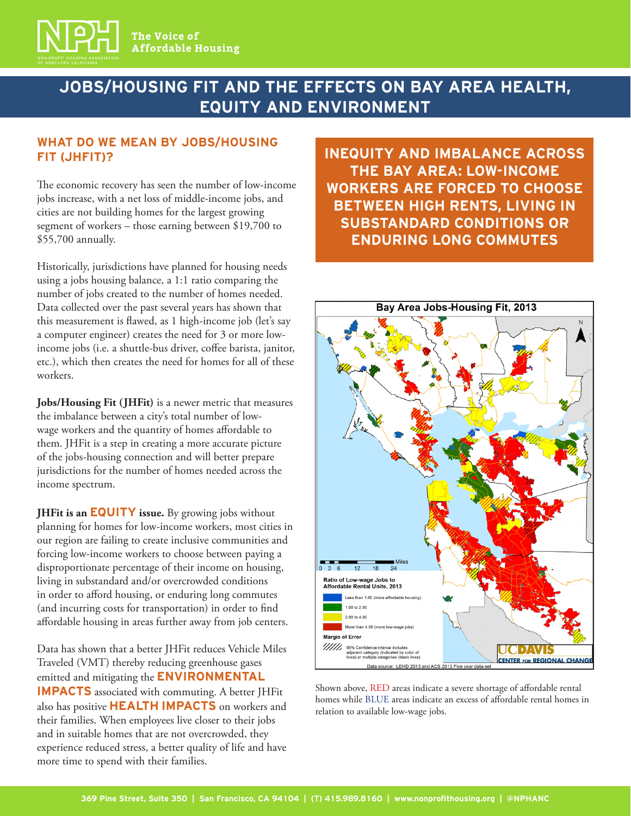

# **JOBS/HOUSING FIT AND THE EFFECTS ON BAY AREA HEALTH, EQUITY AND ENVIRONMENT**

#### **WHAT DO WE MEAN BY JOBS/HOUSING FIT (JHFIT)?**

The economic recovery has seen the number of low-income jobs increase, with a net loss of middle-income jobs, and cities are not building homes for the largest growing segment of workers – those earning between \$19,700 to \$55,700 annually.

Historically, jurisdictions have planned for housing needs using a jobs housing balance, a 1:1 ratio comparing the number of jobs created to the number of homes needed. Data collected over the past several years has shown that this measurement is flawed, as 1 high-income job (let's say a computer engineer) creates the need for 3 or more lowincome jobs (i.e. a shuttle-bus driver, coffee barista, janitor, etc.), which then creates the need for homes for all of these workers.

**Jobs/Housing Fit (JHFit)** is a newer metric that measures the imbalance between a city's total number of lowwage workers and the quantity of homes affordable to them. JHFit is a step in creating a more accurate picture of the jobs-housing connection and will better prepare jurisdictions for the number of homes needed across the income spectrum.

**JHFit is an EQUITY issue.** By growing jobs without planning for homes for low-income workers, most cities in our region are failing to create inclusive communities and forcing low-income workers to choose between paying a disproportionate percentage of their income on housing, living in substandard and/or overcrowded conditions in order to afford housing, or enduring long commutes (and incurring costs for transportation) in order to find affordable housing in areas further away from job centers.

Data has shown that a better JHFit reduces Vehicle Miles Traveled (VMT) thereby reducing greenhouse gases emitted and mitigating the **ENVIRONMENTAL IMPACTS** associated with commuting. A better JHFit also has positive **HEALTH IMPACTS** on workers and their families. When employees live closer to their jobs and in suitable homes that are not overcrowded, they experience reduced stress, a better quality of life and have more time to spend with their families.

**INEQUITY AND IMBALANCE ACROSS THE BAY AREA: LOW-INCOME WORKERS ARE FORCED TO CHOOSE BETWEEN HIGH RENTS, LIVING IN SUBSTANDARD CONDITIONS OR ENDURING LONG COMMUTES** 



Shown above, RED areas indicate a severe shortage of affordable rental homes while BLUE areas indicate an excess of affordable rental homes in relation to available low-wage jobs.